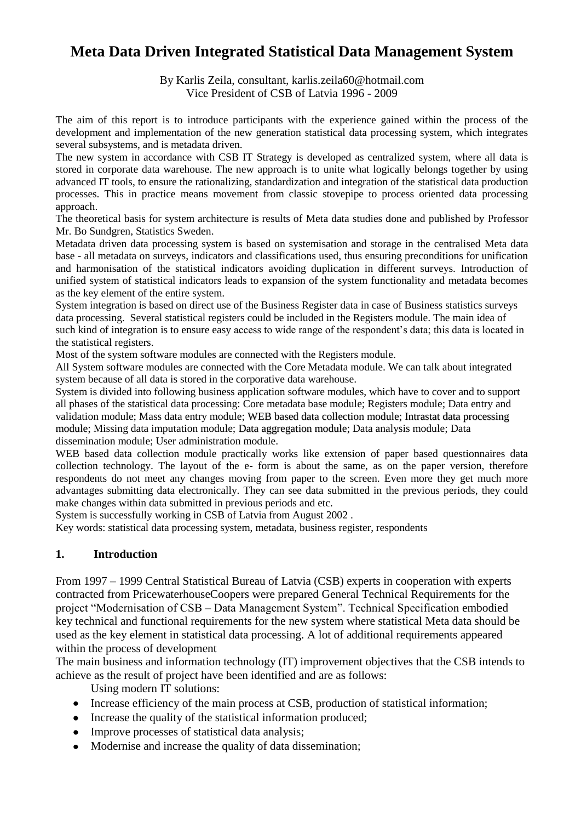# **Meta Data Driven Integrated Statistical Data Management System**

By Karlis Zeila, consultant, [karlis.zeila60@hotmail.com](mailto:karlis.zeila60@hotmail.com) Vice President of CSB of Latvia 1996 - 2009

The aim of this report is to introduce participants with the experience gained within the process of the development and implementation of the new generation statistical data processing system, which integrates several subsystems, and is metadata driven.

The new system in accordance with CSB IT Strategy is developed as centralized system, where all data is stored in corporate data warehouse. The new approach is to unite what logically belongs together by using advanced IT tools, to ensure the rationalizing, standardization and integration of the statistical data production processes. This in practice means movement from classic stovepipe to process oriented data processing approach.

The theoretical basis for system architecture is results of Meta data studies done and published by Professor Mr. Bo Sundgren, Statistics Sweden.

Metadata driven data processing system is based on systemisation and storage in the centralised Meta data base - all metadata on surveys, indicators and classifications used, thus ensuring preconditions for unification and harmonisation of the statistical indicators avoiding duplication in different surveys. Introduction of unified system of statistical indicators leads to expansion of the system functionality and metadata becomes as the key element of the entire system.

System integration is based on direct use of the Business Register data in case of Business statistics surveys data processing. Several statistical registers could be included in the Registers module. The main idea of such kind of integration is to ensure easy access to wide range of the respondent's data; this data is located in the statistical registers.

Most of the system software modules are connected with the Registers module.

All System software modules are connected with the Core Metadata module. We can talk about integrated system because of all data is stored in the corporative data warehouse.

System is divided into following business application software modules, which have to cover and to support all phases of the statistical data processing: Core metadata base module; Registers module; Data entry and validation module; Mass data entry module; WEB based data collection module; Intrastat data processing module; Missing data imputation module; Data aggregation module; Data analysis module; Data dissemination module; User administration module.

WEB based data collection module practically works like extension of paper based questionnaires data collection technology. The layout of the e- form is about the same, as on the paper version, therefore respondents do not meet any changes moving from paper to the screen. Even more they get much more advantages submitting data electronically. They can see data submitted in the previous periods, they could make changes within data submitted in previous periods and etc.

System is successfully working in CSB of Latvia from August 2002 .

Key words: statistical data processing system, metadata, business register, respondents

#### **1. Introduction**

From 1997 – 1999 Central Statistical Bureau of Latvia (CSB) experts in cooperation with experts contracted from PricewaterhouseCoopers were prepared General Technical Requirements for the project "Modernisation of CSB – Data Management System". Technical Specification embodied key technical and functional requirements for the new system where statistical Meta data should be used as the key element in statistical data processing. A lot of additional requirements appeared within the process of development

The main business and information technology (IT) improvement objectives that the CSB intends to achieve as the result of project have been identified and are as follows:

Using modern IT solutions:

- Increase efficiency of the main process at CSB, production of statistical information;  $\bullet$
- Increase the quality of the statistical information produced;
- Improve processes of statistical data analysis;
- Modernise and increase the quality of data dissemination;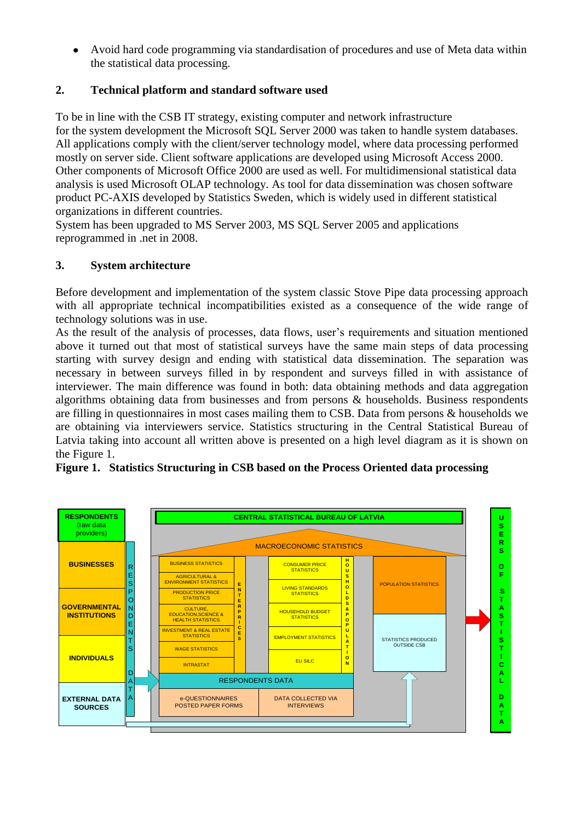Avoid hard code programming via standardisation of procedures and use of Meta data within  $\bullet$ the statistical data processing.

#### **2. Technical platform and standard software used**

To be in line with the CSB IT strategy, existing computer and network infrastructure for the system development the Microsoft SQL Server 2000 was taken to handle system databases. All applications comply with the client/server technology model, where data processing performed mostly on server side. Client software applications are developed using Microsoft Access 2000. Other components of Microsoft Office 2000 are used as well. For multidimensional statistical data analysis is used Microsoft OLAP technology. As tool for data dissemination was chosen software product PC-AXIS developed by Statistics Sweden, which is widely used in different statistical organizations in different countries.

System has been upgraded to MS Server 2003, MS SQL Server 2005 and applications reprogrammed in .net in 2008.

#### **3. System architecture**

Before development and implementation of the system classic Stove Pipe data processing approach with all appropriate technical incompatibilities existed as a consequence of the wide range of technology solutions was in use.

As the result of the analysis of processes, data flows, user's requirements and situation mentioned above it turned out that most of statistical surveys have the same main steps of data processing starting with survey design and ending with statistical data dissemination. The separation was necessary in between surveys filled in by respondent and surveys filled in with assistance of interviewer. The main difference was found in both: data obtaining methods and data aggregation algorithms obtaining data from businesses and from persons & households. Business respondents are filling in questionnaires in most cases mailing them to CSB. Data from persons & households we are obtaining via interviewers service. Statistics structuring in the Central Statistical Bureau of Latvia taking into account all written above is presented on a high level diagram as it is shown on the Figure 1.



#### **Figure 1. Statistics Structuring in CSB based on the Process Oriented data processing**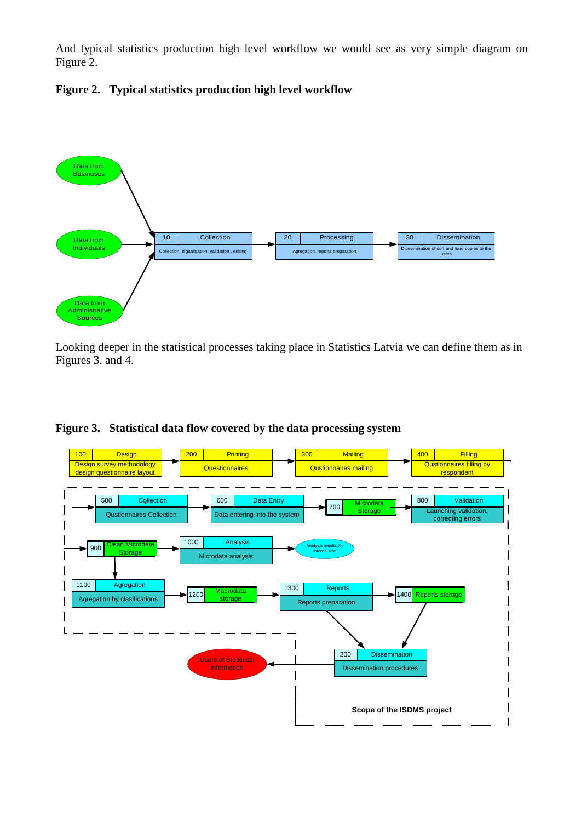And typical statistics production high level workflow we would see as very simple diagram on Figure 2.





Looking deeper in the statistical processes taking place in Statistics Latvia we can define them as in Figures 3. and 4.



**Figure 3. Statistical data flow covered by the data processing system**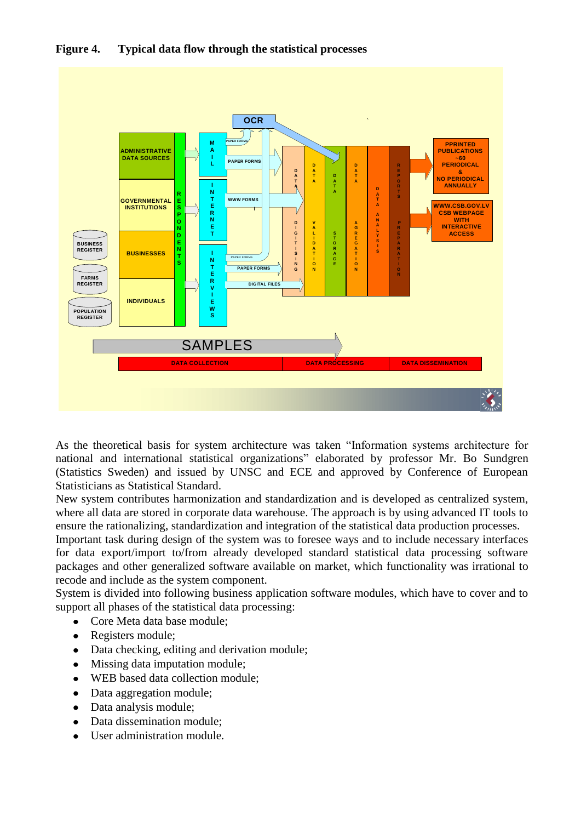

#### **Figure 4. Typical data flow through the statistical processes**

As the theoretical basis for system architecture was taken "Information systems architecture for national and international statistical organizations" elaborated by professor Mr. Bo Sundgren (Statistics Sweden) and issued by UNSC and ECE and approved by Conference of European Statisticians as Statistical Standard.

New system contributes harmonization and standardization and is developed as centralized system, where all data are stored in corporate data warehouse. The approach is by using advanced IT tools to ensure the rationalizing, standardization and integration of the statistical data production processes.

Important task during design of the system was to foresee ways and to include necessary interfaces for data export/import to/from already developed standard statistical data processing software packages and other generalized software available on market, which functionality was irrational to recode and include as the system component.

System is divided into following business application software modules, which have to cover and to support all phases of the statistical data processing:

- Core Meta data base module;  $\bullet$
- Registers module;  $\bullet$
- Data checking, editing and derivation module;  $\bullet$
- Missing data imputation module;  $\bullet$
- WEB based data collection module;  $\bullet$
- Data aggregation module;  $\bullet$
- Data analysis module;  $\bullet$
- Data dissemination module;  $\bullet$
- User administration module. $\bullet$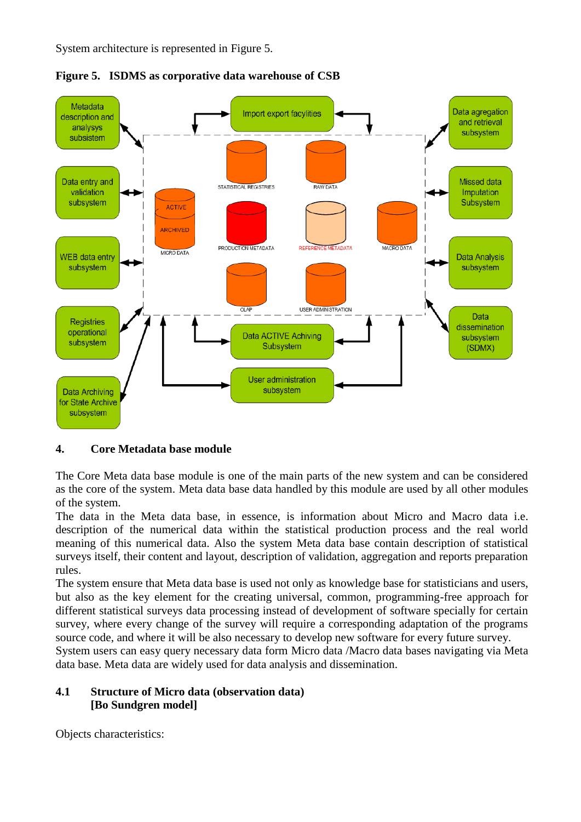System architecture is represented in Figure 5.



**Figure 5. ISDMS as corporative data warehouse of CSB**

#### **4. Core Metadata base module**

The Core Meta data base module is one of the main parts of the new system and can be considered as the core of the system. Meta data base data handled by this module are used by all other modules of the system.

The data in the Meta data base, in essence, is information about Micro and Macro data i.e. description of the numerical data within the statistical production process and the real world meaning of this numerical data. Also the system Meta data base contain description of statistical surveys itself, their content and layout, description of validation, aggregation and reports preparation rules.

The system ensure that Meta data base is used not only as knowledge base for statisticians and users, but also as the key element for the creating universal, common, programming-free approach for different statistical surveys data processing instead of development of software specially for certain survey, where every change of the survey will require a corresponding adaptation of the programs source code, and where it will be also necessary to develop new software for every future survey.

System users can easy query necessary data form Micro data /Macro data bases navigating via Meta data base. Meta data are widely used for data analysis and dissemination.

### **4.1 Structure of Micro data (observation data) [Bo Sundgren model]**

Objects characteristics: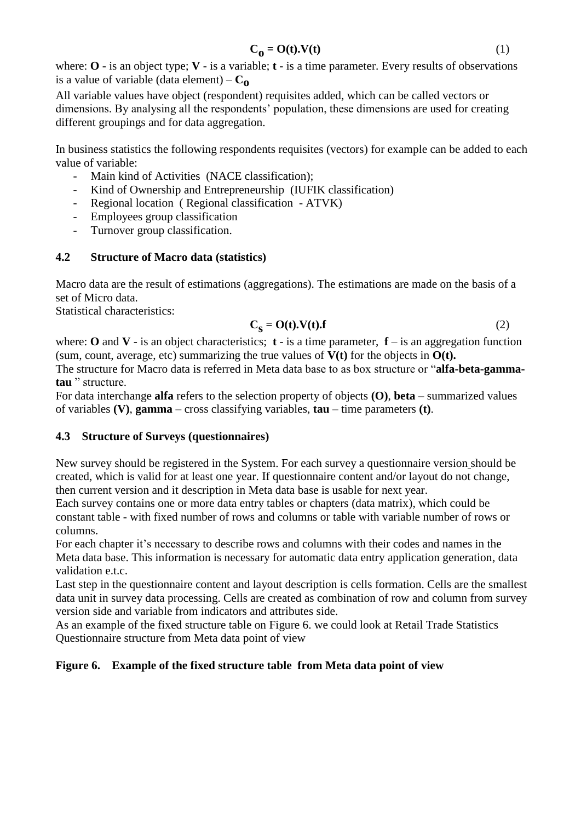where: **O** - is an object type; **V** - is a variable; **t** - is a time parameter. Every results of observations is a value of variable (data element)  $-C_0$ 

All variable values have object (respondent) requisites added, which can be called vectors or dimensions. By analysing all the respondents' population, these dimensions are used for creating different groupings and for data aggregation.

In business statistics the following respondents requisites (vectors) for example can be added to each value of variable:

- Main kind of Activities (NACE classification);
- Kind of Ownership and Entrepreneurship (IUFIK classification)
- Regional location ( Regional classification ATVK)
- Employees group classification
- Turnover group classification.

## **4.2 Structure of Macro data (statistics)**

Macro data are the result of estimations (aggregations). The estimations are made on the basis of a set of Micro data.

Statistical characteristics:

$$
C_{\mathbf{S}} = \mathbf{O}(\mathbf{t}) \cdot \mathbf{V}(\mathbf{t}) \cdot \mathbf{f} \tag{2}
$$

where: **O** and **V** - is an object characteristics; **t** - is a time parameter,  $f -$  is an aggregation function (sum, count, average, etc) summarizing the true values of  $V(t)$  for the objects in  $O(t)$ .

The structure for Macro data is referred in Meta data base to as box structure or "**alfa-beta-gammatau** " structure.

For data interchange **alfa** refers to the selection property of objects **(O)**, **beta** – summarized values of variables **(V)**, **gamma** – cross classifying variables, **tau** – time parameters **(t)**.

## **4.3 Structure of Surveys (questionnaires)**

New survey should be registered in the System. For each survey a questionnaire version should be created, which is valid for at least one year. If questionnaire content and/or layout do not change, then current version and it description in Meta data base is usable for next year.

Each survey contains one or more data entry tables or chapters (data matrix), which could be constant table - with fixed number of rows and columns or table with variable number of rows or columns.

For each chapter it's necessary to describe rows and columns with their codes and names in the Meta data base. This information is necessary for automatic data entry application generation, data validation e.t.c.

Last step in the questionnaire content and layout description is cells formation. Cells are the smallest data unit in survey data processing. Cells are created as combination of row and column from survey version side and variable from indicators and attributes side.

As an example of the fixed structure table on Figure 6. we could look at Retail Trade Statistics Questionnaire structure from Meta data point of view

## **Figure 6. Example of the fixed structure table from Meta data point of view**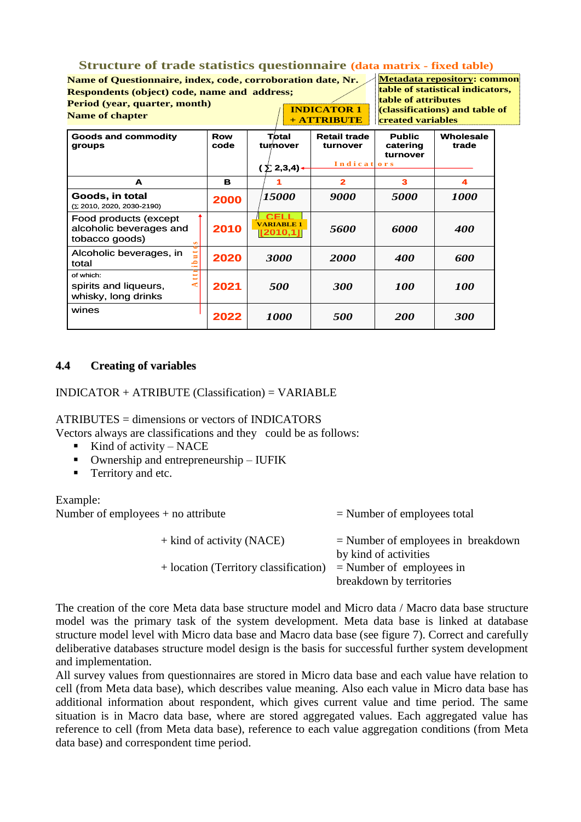#### **Structure of trade statistics questionnaire (data matrix - fixed table)**

| Name of Questionnaire, index, code, corroboration date, Nr.<br><b>Respondents (object) code, name and address;</b><br>Period (year, quarter, month)<br><b>INDICATOR 1</b><br><b>Name of chapter</b><br>+ ATTRIBUTE |             |                                       |                                               |                                       | <b>Metadata repository: common</b><br>table of statistical indicators,<br>table of attributes<br>(classifications) and table of<br>created variables |  |
|--------------------------------------------------------------------------------------------------------------------------------------------------------------------------------------------------------------------|-------------|---------------------------------------|-----------------------------------------------|---------------------------------------|------------------------------------------------------------------------------------------------------------------------------------------------------|--|
| <b>Goods and commodity</b><br>groups                                                                                                                                                                               | Row<br>code | Total<br>turnover<br>( ∑ 2,3,4) ←     | <b>Retail trade</b><br>turnover<br>Indicators | <b>Public</b><br>catering<br>turnover | Wholesale<br>trade                                                                                                                                   |  |
| A                                                                                                                                                                                                                  | в           |                                       | $\overline{2}$                                | 3                                     | 4                                                                                                                                                    |  |
| Goods, in total<br>(2 2010, 2020, 2030-2190)                                                                                                                                                                       | 2000        | <i><b>15000</b></i>                   | 9000                                          | 5000                                  | 1000                                                                                                                                                 |  |
| Food products (except<br>alcoholic beverages and<br>tobacco goods)                                                                                                                                                 | 2010        | CEL I<br><b>ARIABLE 1</b><br>[2010,1] | 5600                                          | 6000                                  | <i><b>400</b></i>                                                                                                                                    |  |
| Alcoholic beverages, in<br>$\blacksquare$<br>total                                                                                                                                                                 | 2020        | 3000                                  | <b>2000</b>                                   | <i><b>400</b></i>                     | 600                                                                                                                                                  |  |
| of which:<br>spirits and liqueurs,<br>whisky, long drinks                                                                                                                                                          | 2021        | 500                                   | <b>300</b>                                    | <i><b>100</b></i>                     | <b>100</b>                                                                                                                                           |  |
| wines                                                                                                                                                                                                              | 2022        | <i>1000</i>                           | 500                                           | <i>200</i>                            | 300                                                                                                                                                  |  |

#### **4.4 Creating of variables**

INDICATOR + ATRIBUTE (Classification) = VARIABLE

ATRIBUTES = dimensions or vectors of INDICATORS

Vectors always are classifications and they could be as follows:

- Kind of activity NACE
- Ownership and entrepreneurship IUFIK
- **Territory and etc.**

Example:

Number of employees + no attribute  $=$  Number of employees total

| + kind of activity (NACE)             | $=$ Number of employees in breakdown |  |  |  |
|---------------------------------------|--------------------------------------|--|--|--|
|                                       | by kind of activities                |  |  |  |
| + location (Territory classification) | $=$ Number of employees in           |  |  |  |
|                                       | breakdown by territories             |  |  |  |

The creation of the core Meta data base structure model and Micro data / Macro data base structure model was the primary task of the system development. Meta data base is linked at database structure model level with Micro data base and Macro data base (see figure 7). Correct and carefully deliberative databases structure model design is the basis for successful further system development and implementation.

All survey values from questionnaires are stored in Micro data base and each value have relation to cell (from Meta data base), which describes value meaning. Also each value in Micro data base has additional information about respondent, which gives current value and time period. The same situation is in Macro data base, where are stored aggregated values. Each aggregated value has reference to cell (from Meta data base), reference to each value aggregation conditions (from Meta data base) and correspondent time period.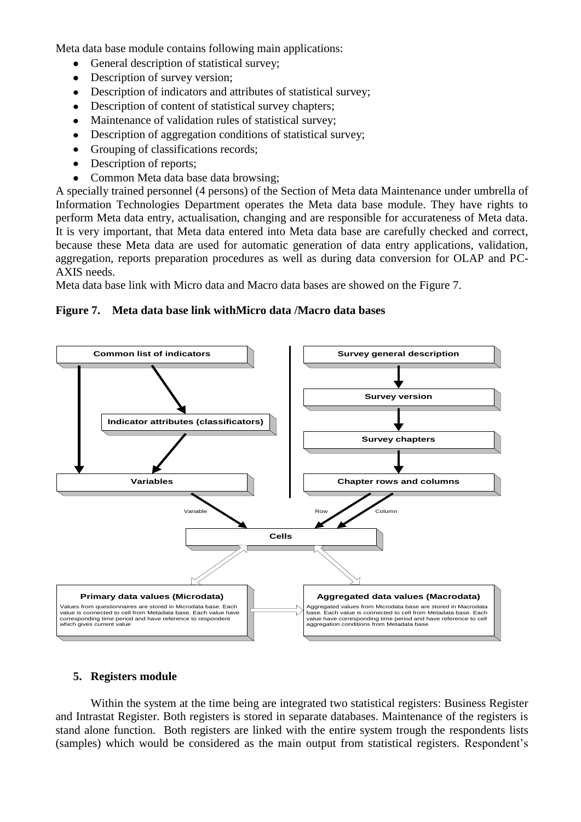Meta data base module contains following main applications:

- General description of statistical survey;
- Description of survey version;  $\bullet$
- Description of indicators and attributes of statistical survey;  $\bullet$
- Description of content of statistical survey chapters;  $\bullet$
- Maintenance of validation rules of statistical survey;  $\bullet$
- $\bullet$ Description of aggregation conditions of statistical survey;
- Grouping of classifications records;  $\bullet$
- Description of reports;  $\bullet$
- Common Meta data base data browsing;

A specially trained personnel (4 persons) of the Section of Meta data Maintenance under umbrella of Information Technologies Department operates the Meta data base module. They have rights to perform Meta data entry, actualisation, changing and are responsible for accurateness of Meta data. It is very important, that Meta data entered into Meta data base are carefully checked and correct, because these Meta data are used for automatic generation of data entry applications, validation, aggregation, reports preparation procedures as well as during data conversion for OLAP and PC-AXIS needs.

Meta data base link with Micro data and Macro data bases are showed on the Figure 7.





#### **5. Registers module**

Within the system at the time being are integrated two statistical registers: Business Register and Intrastat Register. Both registers is stored in separate databases. Maintenance of the registers is stand alone function. Both registers are linked with the entire system trough the respondents lists (samples) which would be considered as the main output from statistical registers. Respondent's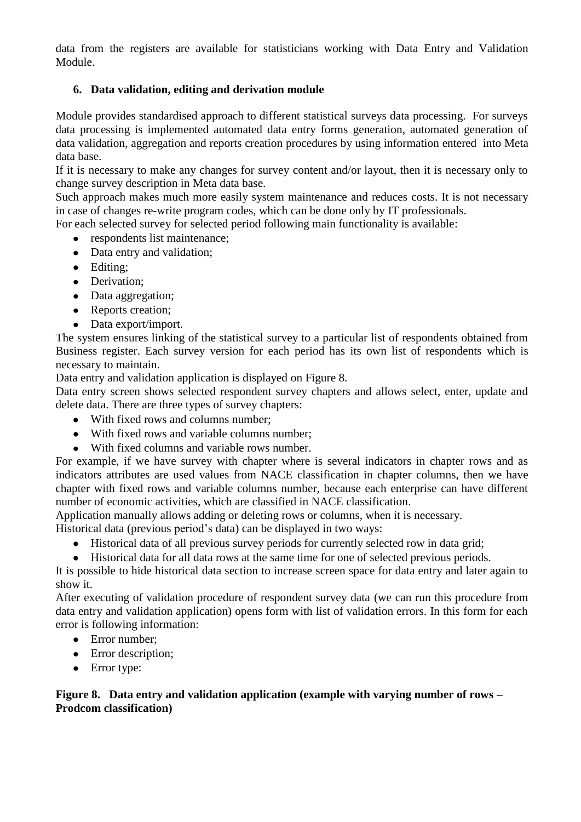data from the registers are available for statisticians working with Data Entry and Validation Module.

### **6. Data validation, editing and derivation module**

Module provides standardised approach to different statistical surveys data processing. For surveys data processing is implemented automated data entry forms generation, automated generation of data validation, aggregation and reports creation procedures by using information entered into Meta data base.

If it is necessary to make any changes for survey content and/or layout, then it is necessary only to change survey description in Meta data base.

Such approach makes much more easily system maintenance and reduces costs. It is not necessary in case of changes re-write program codes, which can be done only by IT professionals.

For each selected survey for selected period following main functionality is available:

- respondents list maintenance;  $\bullet$
- Data entry and validation:
- Editing;
- Derivation;
- Data aggregation;
- Reports creation;
- Data export/import.

The system ensures linking of the statistical survey to a particular list of respondents obtained from Business register. Each survey version for each period has its own list of respondents which is necessary to maintain.

Data entry and validation application is displayed on Figure 8.

Data entry screen shows selected respondent survey chapters and allows select, enter, update and delete data. There are three types of survey chapters:

- With fixed rows and columns number:
- With fixed rows and variable columns number:
- With fixed columns and variable rows number.

For example, if we have survey with chapter where is several indicators in chapter rows and as indicators attributes are used values from NACE classification in chapter columns, then we have chapter with fixed rows and variable columns number, because each enterprise can have different number of economic activities, which are classified in NACE classification.

Application manually allows adding or deleting rows or columns, when it is necessary.

Historical data (previous period's data) can be displayed in two ways:

- $\bullet$ Historical data of all previous survey periods for currently selected row in data grid;
- Historical data for all data rows at the same time for one of selected previous periods.

It is possible to hide historical data section to increase screen space for data entry and later again to show it.

After executing of validation procedure of respondent survey data (we can run this procedure from data entry and validation application) opens form with list of validation errors. In this form for each error is following information:

- Error number:
- Error description;
- Error type:

#### **Figure 8. Data entry and validation application (example with varying number of rows – Prodcom classification)**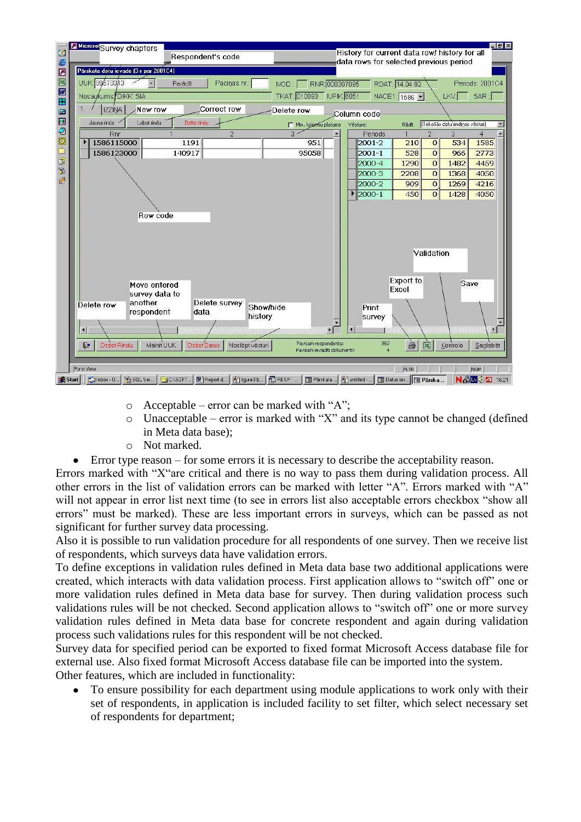

- $\circ$  Acceptable error can be marked with "A";
- o Unacceptable error is marked with "X" and its type cannot be changed (defined in Meta data base);
- o Not marked.
- Error type reason for some errors it is necessary to describe the acceptability reason.

Errors marked with "X"are critical and there is no way to pass them during validation process. All other errors in the list of validation errors can be marked with letter "A". Errors marked with "A" will not appear in error list next time (to see in errors list also acceptable errors checkbox "show all errors" must be marked). These are less important errors in surveys, which can be passed as not significant for further survey data processing.

Also it is possible to run validation procedure for all respondents of one survey. Then we receive list of respondents, which surveys data have validation errors.

To define exceptions in validation rules defined in Meta data base two additional applications were created, which interacts with data validation process. First application allows to "switch off" one or more validation rules defined in Meta data base for survey. Then during validation process such validations rules will be not checked. Second application allows to "switch off" one or more survey validation rules defined in Meta data base for concrete respondent and again during validation process such validations rules for this respondent will be not checked.

Survey data for specified period can be exported to fixed format Microsoft Access database file for external use. Also fixed format Microsoft Access database file can be imported into the system. Other features, which are included in functionality:

To ensure possibility for each department using module applications to work only with their set of respondents, in application is included facility to set filter, which select necessary set of respondents for department;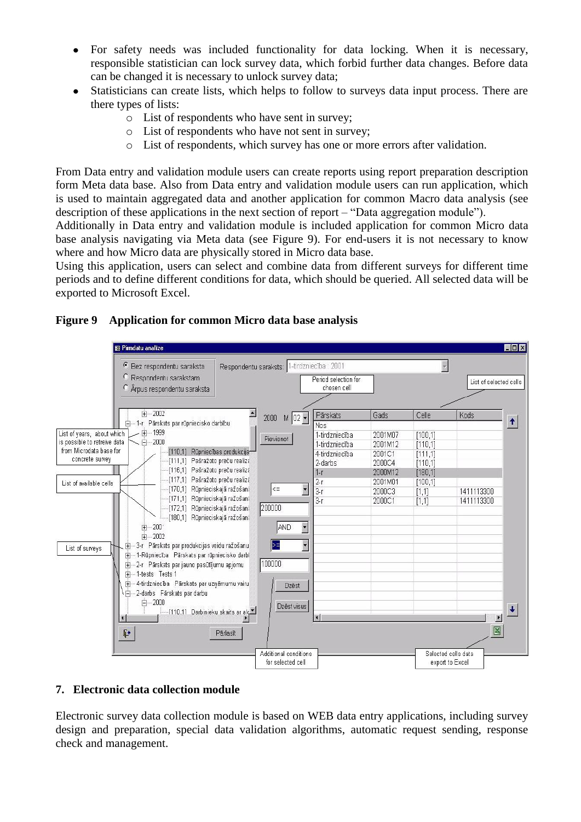- For safety needs was included functionality for data locking. When it is necessary,  $\bullet$ responsible statistician can lock survey data, which forbid further data changes. Before data can be changed it is necessary to unlock survey data;
- Statisticians can create lists, which helps to follow to surveys data input process. There are  $\bullet$ there types of lists:
	- o List of respondents who have sent in survey;
	- o List of respondents who have not sent in survey;
	- o List of respondents, which survey has one or more errors after validation.

From Data entry and validation module users can create reports using report preparation description form Meta data base. Also from Data entry and validation module users can run application, which is used to maintain aggregated data and another application for common Macro data analysis (see description of these applications in the next section of report – "Data aggregation module").

Additionally in Data entry and validation module is included application for common Micro data base analysis navigating via Meta data (see Figure 9). For end-users it is not necessary to know where and how Micro data are physically stored in Micro data base.

Using this application, users can select and combine data from different surveys for different time periods and to define different conditions for data, which should be queried. All selected data will be exported to Microsoft Excel.

### **Figure 9 Application for common Micro data base analysis**



#### **7. Electronic data collection module**

Electronic survey data collection module is based on WEB data entry applications, including survey design and preparation, special data validation algorithms, automatic request sending, response check and management.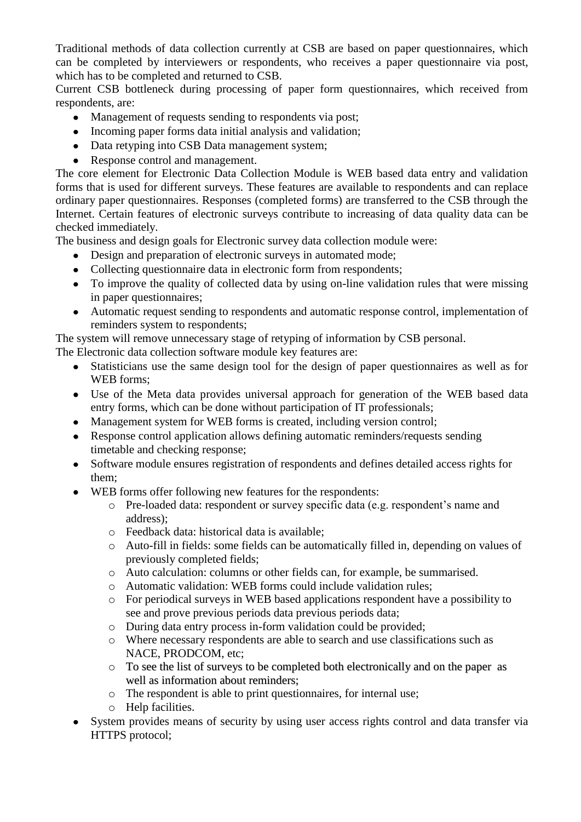Traditional methods of data collection currently at CSB are based on paper questionnaires, which can be completed by interviewers or respondents, who receives a paper questionnaire via post, which has to be completed and returned to CSB.

Current CSB bottleneck during processing of paper form questionnaires, which received from respondents, are:

- Management of requests sending to respondents via post;
- Incoming paper forms data initial analysis and validation;
- Data retyping into CSB Data management system;
- Response control and management.

The core element for Electronic Data Collection Module is WEB based data entry and validation forms that is used for different surveys. These features are available to respondents and can replace ordinary paper questionnaires. Responses (completed forms) are transferred to the CSB through the Internet. Certain features of electronic surveys contribute to increasing of data quality data can be checked immediately.

The business and design goals for Electronic survey data collection module were:

- Design and preparation of electronic surveys in automated mode;  $\bullet$
- Collecting questionnaire data in electronic form from respondents;
- To improve the quality of collected data by using on-line validation rules that were missing in paper questionnaires;
- Automatic request sending to respondents and automatic response control, implementation of reminders system to respondents;

The system will remove unnecessary stage of retyping of information by CSB personal.

The Electronic data collection software module key features are:

- Statisticians use the same design tool for the design of paper questionnaires as well as for WEB forms;
- Use of the Meta data provides universal approach for generation of the WEB based data entry forms, which can be done without participation of IT professionals;
- Management system for WEB forms is created, including version control;  $\bullet$
- Response control application allows defining automatic reminders/requests sending  $\bullet$ timetable and checking response;
- Software module ensures registration of respondents and defines detailed access rights for  $\bullet$ them;
- WEB forms offer following new features for the respondents:
	- o Pre-loaded data: respondent or survey specific data (e.g. respondent's name and address);
	- o Feedback data: historical data is available;
	- o Auto-fill in fields: some fields can be automatically filled in, depending on values of previously completed fields;
	- o Auto calculation: columns or other fields can, for example, be summarised.
	- o Automatic validation: WEB forms could include validation rules;
	- o For periodical surveys in WEB based applications respondent have a possibility to see and prove previous periods data previous periods data;
	- o During data entry process in-form validation could be provided;
	- o Where necessary respondents are able to search and use classifications such as NACE, PRODCOM, etc;
	- o To see the list of surveys to be completed both electronically and on the paper as well as information about reminders;
	- o The respondent is able to print questionnaires, for internal use;
	- o Help facilities.
- System provides means of security by using user access rights control and data transfer via HTTPS protocol;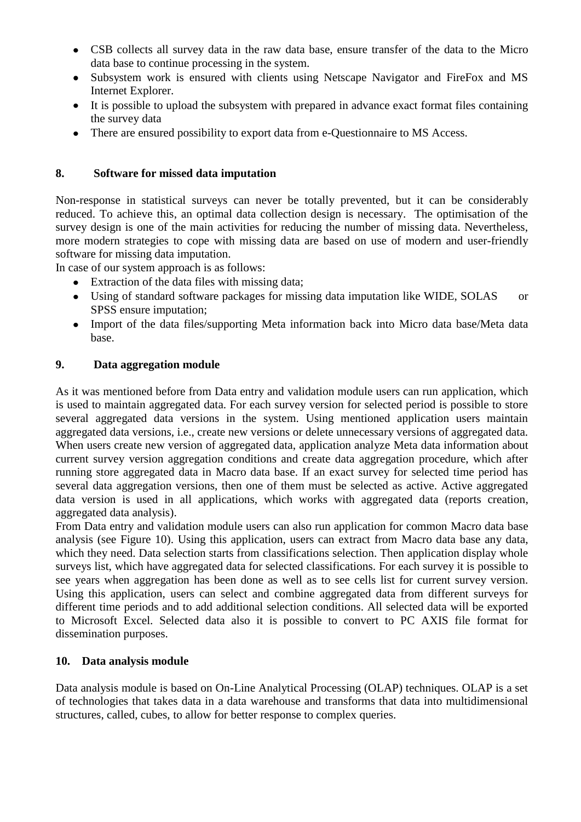- CSB collects all survey data in the raw data base, ensure transfer of the data to the Micro data base to continue processing in the system.
- Subsystem work is ensured with clients using Netscape Navigator and FireFox and MS  $\bullet$ Internet Explorer.
- It is possible to upload the subsystem with prepared in advance exact format files containing  $\bullet$ the survey data
- There are ensured possibility to export data from e-Questionnaire to MS Access.  $\bullet$

### **8. Software for missed data imputation**

Non-response in statistical surveys can never be totally prevented, but it can be considerably reduced. To achieve this, an optimal data collection design is necessary. The optimisation of the survey design is one of the main activities for reducing the number of missing data. Nevertheless, more modern strategies to cope with missing data are based on use of modern and user-friendly software for missing data imputation.

In case of our system approach is as follows:

- $\bullet$ Extraction of the data files with missing data;
- Using of standard software packages for missing data imputation like WIDE, SOLAS or  $\bullet$ SPSS ensure imputation;
- Import of the data files/supporting Meta information back into Micro data base/Meta data  $\bullet$ base.

#### **9. Data aggregation module**

As it was mentioned before from Data entry and validation module users can run application, which is used to maintain aggregated data. For each survey version for selected period is possible to store several aggregated data versions in the system. Using mentioned application users maintain aggregated data versions, i.e., create new versions or delete unnecessary versions of aggregated data. When users create new version of aggregated data, application analyze Meta data information about current survey version aggregation conditions and create data aggregation procedure, which after running store aggregated data in Macro data base. If an exact survey for selected time period has several data aggregation versions, then one of them must be selected as active. Active aggregated data version is used in all applications, which works with aggregated data (reports creation, aggregated data analysis).

From Data entry and validation module users can also run application for common Macro data base analysis (see Figure 10). Using this application, users can extract from Macro data base any data, which they need. Data selection starts from classifications selection. Then application display whole surveys list, which have aggregated data for selected classifications. For each survey it is possible to see years when aggregation has been done as well as to see cells list for current survey version. Using this application, users can select and combine aggregated data from different surveys for different time periods and to add additional selection conditions. All selected data will be exported to Microsoft Excel. Selected data also it is possible to convert to PC AXIS file format for dissemination purposes.

#### **10. Data analysis module**

Data analysis module is based on On-Line Analytical Processing (OLAP) techniques. OLAP is a set of technologies that takes data in a data warehouse and transforms that data into multidimensional structures, called, cubes, to allow for better response to complex queries.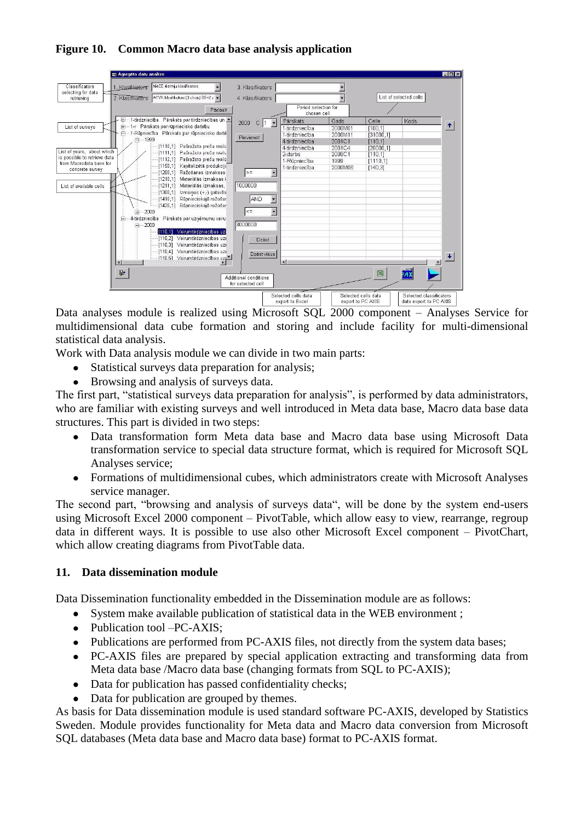#### $\Box$   $\times$ **Sa** Agregêto datu ar Klasifikators<sup>-</sup> NACE 4-zīmju klasifikators Classificators  $\blacksquare$ 3. Klasifikators selecting for data<br>retrieving 2. Klasifikators ATVK klasifikators (3 zīmju) (0)+2 z v List of selected cells 4. Klasifikators  $\overline{\mathbf{r}}$ Period selection Pārlasīt chosen cell 1-tirdzniecība Pārskats par tirdzniecības un ▲<br>1-r Pārskats par rūpniecisko darbību 2000 C  $\boxed{1 - \frac{1}{2}}$  Pārskats Celle Gads Kods  $\frac{1}{\pm}$  $\uparrow$ List of surveys 2000M0  $\begin{array}{l} \left[100,1\right] \ \left[31000,1\right] \end{array}$ 1-tirdzniecība<br>1-tirdzniecība 1-Rüpniecība Pārskats par rūpniecisko darbi Pievienot 1999 4-tirdzniecība 2001C1  $[110.1]$ [1110,1] Pašražoto preču realiz 2001C4<br>2000C1  $[20000,1]$ <br> $[110,1]$ -tirdzniecība ist of years, about which  $111111$ Pašražutu preču realiz 2-darbs is possible to retrieve data  $[1112,1]$ Pašražoto preču realiz z-uaros<br>1-Rūpniecība  $[1110, 1]$ 1999 from Macrodata base for  $[1150.1]$ Kapitalizētā produkcija 2000M06 -tirdzniecība  $[140,3]$ concrete surve Ražošanas izmaksas .<br>[1200,1  $\geq$ ×  $[1210.1]$ Materiālās izmaksas l 1000000 List of available cells  $1121111$ Materiālās izmaksas  $11300.11$ Izmaiņas (+,-) gatavās  $\overline{\phantom{a}}$  $[1410.1]$ Rūpnieciskajā ražošar AND  $[1420.1]$ Rūpnieciskajā ražoša  $+ - 2000$  $\sqrt{a}$  $\blacksquare$ Ė 4-tirdzniecība Pārskats par uzņēmumu vai annnnn  $-200C$ [110,1] Vairumtirdzniecības uz Vairumtirdzniecības Dzēst Vairumtirdzniecības uzr  $[110,3]$  $1110.41$ Vairumtirdzniecības uzr **Dzēstvisus**  $\left| \cdot \right|$ 110.51 Vairumtirdzniecības uzveil œ  $\mathbb{R}$  $\blacksquare$  $\overline{A}X$ Additional conditions<br>for selected cell Selected cells data<br>export to Excel Selected cells data<br>export to PC AXIS Selected classificators<br>data export to PC AXIS

**Figure 10. Common Macro data base analysis application**

Data analyses module is realized using Microsoft SQL 2000 component – Analyses Service for multidimensional data cube formation and storing and include facility for multi-dimensional statistical data analysis.

Work with Data analysis module we can divide in two main parts:

- $\bullet$ Statistical surveys data preparation for analysis;
- Browsing and analysis of surveys data.

The first part, "statistical surveys data preparation for analysis", is performed by data administrators, who are familiar with existing surveys and well introduced in Meta data base, Macro data base data structures. This part is divided in two steps:

- Data transformation form Meta data base and Macro data base using Microsoft Data transformation service to special data structure format, which is required for Microsoft SQL Analyses service;
- $\bullet$ Formations of multidimensional cubes, which administrators create with Microsoft Analyses service manager.

The second part, "browsing and analysis of surveys data", will be done by the system end-users using Microsoft Excel 2000 component – PivotTable, which allow easy to view, rearrange, regroup data in different ways. It is possible to use also other Microsoft Excel component – PivotChart, which allow creating diagrams from PivotTable data.

#### **11. Data dissemination module**

Data Dissemination functionality embedded in the Dissemination module are as follows:

- System make available publication of statistical data in the WEB environment ;  $\bullet$
- Publication tool –PC-AXIS;  $\bullet$
- Publications are performed from PC-AXIS files, not directly from the system data bases;  $\bullet$
- PC-AXIS files are prepared by special application extracting and transforming data from  $\bullet$ Meta data base /Macro data base (changing formats from SQL to PC-AXIS);
- Data for publication has passed confidentiality checks;  $\bullet$
- Data for publication are grouped by themes.

As basis for Data dissemination module is used standard software PC-AXIS, developed by Statistics Sweden. Module provides functionality for Meta data and Macro data conversion from Microsoft SQL databases (Meta data base and Macro data base) format to PC-AXIS format.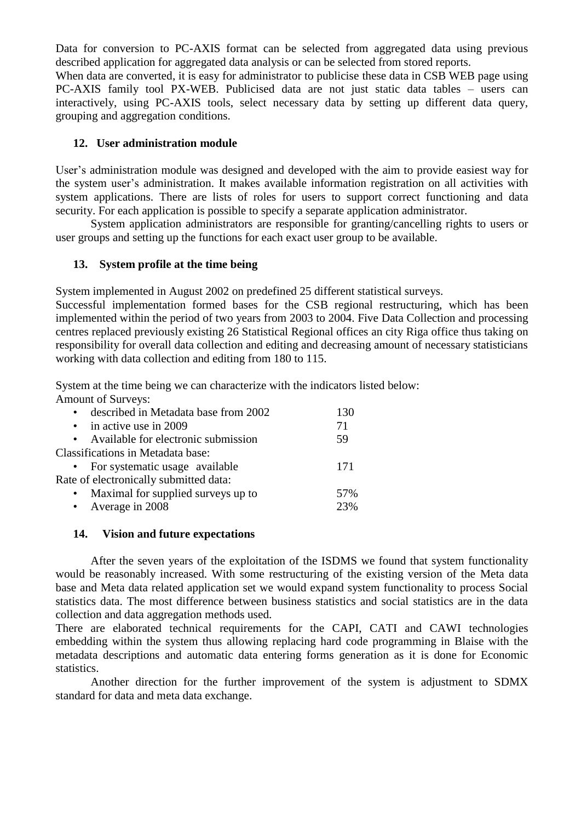Data for conversion to PC-AXIS format can be selected from aggregated data using previous described application for aggregated data analysis or can be selected from stored reports.

When data are converted, it is easy for administrator to publicise these data in CSB WEB page using PC-AXIS family tool PX-WEB. Publicised data are not just static data tables – users can interactively, using PC-AXIS tools, select necessary data by setting up different data query, grouping and aggregation conditions.

#### **12. User administration module**

User's administration module was designed and developed with the aim to provide easiest way for the system user's administration. It makes available information registration on all activities with system applications. There are lists of roles for users to support correct functioning and data security. For each application is possible to specify a separate application administrator.

System application administrators are responsible for granting/cancelling rights to users or user groups and setting up the functions for each exact user group to be available.

#### **13. System profile at the time being**

System implemented in August 2002 on predefined 25 different statistical surveys.

Successful implementation formed bases for the CSB regional restructuring, which has been implemented within the period of two years from 2003 to 2004. Five Data Collection and processing centres replaced previously existing 26 Statistical Regional offices an city Riga office thus taking on responsibility for overall data collection and editing and decreasing amount of necessary statisticians working with data collection and editing from 180 to 115.

System at the time being we can characterize with the indicators listed below: Amount of Surveys:

| • described in Metadata base from 2002   | 130 |
|------------------------------------------|-----|
| $\cdot$ in active use in 2009            | 71  |
| • Available for electronic submission    | 59  |
| <b>Classifications in Metadata base:</b> |     |
| • For systematic usage available         | 171 |
| Rate of electronically submitted data:   |     |
| • Maximal for supplied surveys up to     | 57% |
| • Average in 2008                        | 23% |

#### **14. Vision and future expectations**

After the seven years of the exploitation of the ISDMS we found that system functionality would be reasonably increased. With some restructuring of the existing version of the Meta data base and Meta data related application set we would expand system functionality to process Social statistics data. The most difference between business statistics and social statistics are in the data collection and data aggregation methods used.

There are elaborated technical requirements for the CAPI, CATI and CAWI technologies embedding within the system thus allowing replacing hard code programming in Blaise with the metadata descriptions and automatic data entering forms generation as it is done for Economic statistics.

Another direction for the further improvement of the system is adjustment to SDMX standard for data and meta data exchange.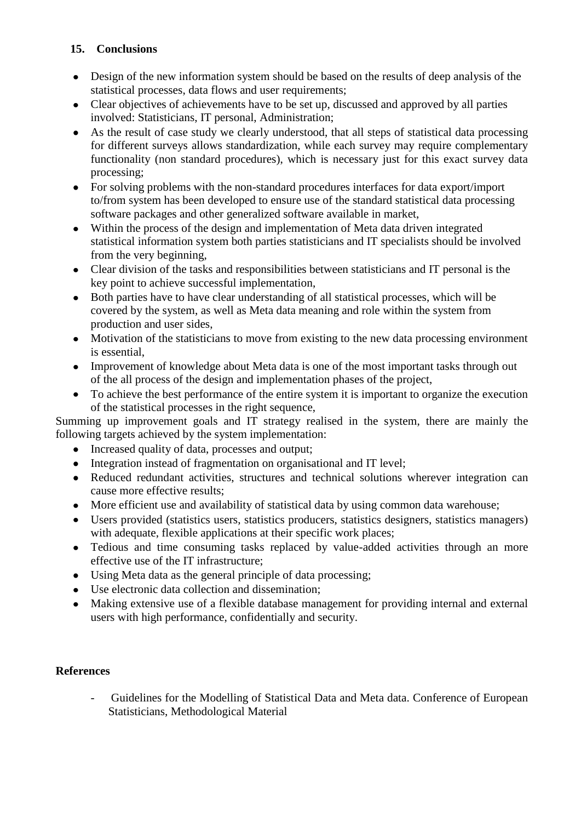### **15. Conclusions**

- Design of the new information system should be based on the results of deep analysis of the statistical processes, data flows and user requirements;
- Clear objectives of achievements have to be set up, discussed and approved by all parties  $\bullet$ involved: Statisticians, IT personal, Administration;
- As the result of case study we clearly understood, that all steps of statistical data processing  $\bullet$ for different surveys allows standardization, while each survey may require complementary functionality (non standard procedures), which is necessary just for this exact survey data processing;
- For solving problems with the non-standard procedures interfaces for data export/import  $\bullet$ to/from system has been developed to ensure use of the standard statistical data processing software packages and other generalized software available in market,
- Within the process of the design and implementation of Meta data driven integrated statistical information system both parties statisticians and IT specialists should be involved from the very beginning,
- Clear division of the tasks and responsibilities between statisticians and IT personal is the key point to achieve successful implementation,
- Both parties have to have clear understanding of all statistical processes, which will be  $\bullet$ covered by the system, as well as Meta data meaning and role within the system from production and user sides,
- Motivation of the statisticians to move from existing to the new data processing environment  $\bullet$ is essential,
- Improvement of knowledge about Meta data is one of the most important tasks through out of the all process of the design and implementation phases of the project,
- To achieve the best performance of the entire system it is important to organize the execution  $\bullet$ of the statistical processes in the right sequence,

Summing up improvement goals and IT strategy realised in the system, there are mainly the following targets achieved by the system implementation:

- Increased quality of data, processes and output;
- Integration instead of fragmentation on organisational and IT level;  $\bullet$
- $\bullet$ Reduced redundant activities, structures and technical solutions wherever integration can cause more effective results;
- More efficient use and availability of statistical data by using common data warehouse;  $\bullet$
- Users provided (statistics users, statistics producers, statistics designers, statistics managers)  $\bullet$ with adequate, flexible applications at their specific work places;
- Tedious and time consuming tasks replaced by value-added activities through an more  $\bullet$ effective use of the IT infrastructure;
- $\bullet$ Using Meta data as the general principle of data processing;
- Use electronic data collection and dissemination;
- Making extensive use of a flexible database management for providing internal and external  $\bullet$ users with high performance, confidentially and security.

#### **References**

- Guidelines for the Modelling of Statistical Data and Meta data. Conference of European Statisticians, Methodological Material